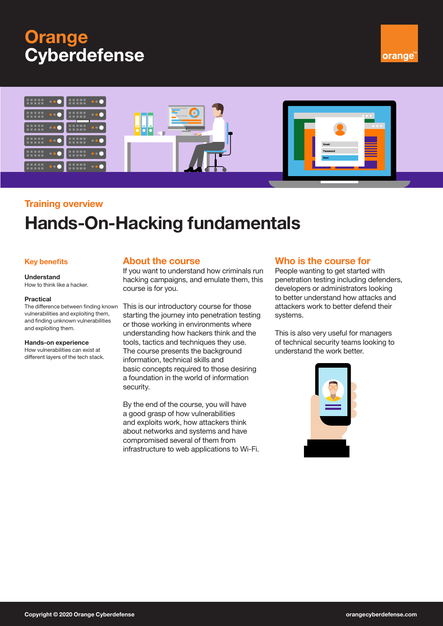# **Orange Cyberdefense**





## **Training overview**

# **Hands-On-Hacking fundamentals**

## **Key benefits**

## **Understand**

## How to think like a hacker.

#### **Practical**

The difference between finding known vulnerabilities and exploiting them, and finding unknown vulnerabilities and exploiting them.

#### **Hands-on experience**

How vulnerabilities can exist at different layers of the tech stack.

## **About the course**

If you want to understand how criminals run hacking campaigns, and emulate them, this course is for you.

This is our introductory course for those starting the journey into penetration testing or those working in environments where understanding how hackers think and the tools, tactics and techniques they use. The course presents the background information, technical skills and basic concepts required to those desiring a foundation in the world of information security.

By the end of the course, you will have a good grasp of how vulnerabilities and exploits work, how attackers think about networks and systems and have compromised several of them from infrastructure to web applications to Wi-Fi.

## **Who is the course for**

People wanting to get started with penetration testing including defenders, developers or administrators looking to better understand how attacks and attackers work to better defend their systems.

This is also very useful for managers of technical security teams looking to understand the work better.